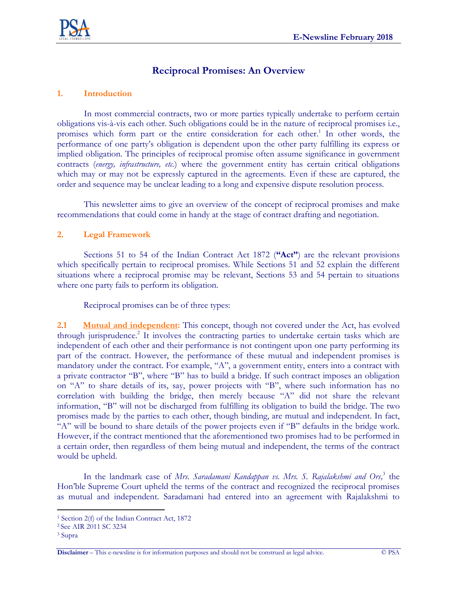

# **Reciprocal Promises: An Overview**

### **1. Introduction**

In most commercial contracts, two or more parties typically undertake to perform certain obligations vis-à-vis each other. Such obligations could be in the nature of reciprocal promises i.e., promises which form part or the entire consideration for each other. 1 In other words, the performance of one party's obligation is dependent upon the other party fulfilling its express or implied obligation. The principles of reciprocal promise often assume significance in government contracts (*energy, infrastructure, etc.*) where the government entity has certain critical obligations which may or may not be expressly captured in the agreements. Even if these are captured, the order and sequence may be unclear leading to a long and expensive dispute resolution process.

This newsletter aims to give an overview of the concept of reciprocal promises and make recommendations that could come in handy at the stage of contract drafting and negotiation.

#### **2. Legal Framework**

Sections 51 to 54 of the Indian Contract Act 1872 (**"Act"**) are the relevant provisions which specifically pertain to reciprocal promises. While Sections 51 and 52 explain the different situations where a reciprocal promise may be relevant, Sections 53 and 54 pertain to situations where one party fails to perform its obligation.

Reciprocal promises can be of three types:

**2**.**1 Mutual and independent:** This concept, though not covered under the Act, has evolved through jurisprudence. 2 It involves the contracting parties to undertake certain tasks which are independent of each other and their performance is not contingent upon one party performing its part of the contract. However, the performance of these mutual and independent promises is mandatory under the contract. For example, "A", a government entity, enters into a contract with a private contractor "B", where "B" has to build a bridge. If such contract imposes an obligation on "A" to share details of its, say, power projects with "B", where such information has no correlation with building the bridge, then merely because "A" did not share the relevant information, "B" will not be discharged from fulfilling its obligation to build the bridge. The two promises made by the parties to each other, though binding, are mutual and independent. In fact, "A" will be bound to share details of the power projects even if "B" defaults in the bridge work. However, if the contract mentioned that the aforementioned two promises had to be performed in a certain order, then regardless of them being mutual and independent, the terms of the contract would be upheld.

In the landmark case of *Mrs. Saradamani Kandappan vs. Mrs. S. Rajalakshmi and Ors*,<sup>3</sup> the Hon'ble Supreme Court upheld the terms of the contract and recognized the reciprocal promises as mutual and independent. Saradamani had entered into an agreement with Rajalakshmi to

 $\overline{a}$ 

<sup>1</sup> Section 2(f) of the Indian Contract Act, 1872

<sup>2</sup> See AIR 2011 SC 3234

<sup>3</sup> Supra

**Disclaimer** – This e-newsline is for information purposes and should not be construed as legal advice. © PSA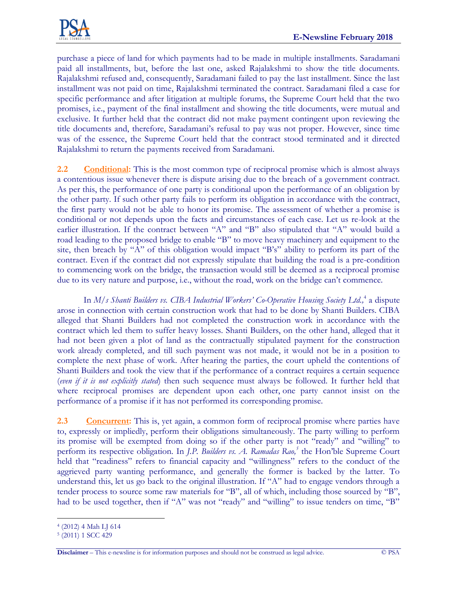

purchase a piece of land for which payments had to be made in multiple installments. Saradamani paid all installments, but, before the last one, asked Rajalakshmi to show the title documents. Rajalakshmi refused and, consequently, Saradamani failed to pay the last installment. Since the last installment was not paid on time, Rajalakshmi terminated the contract. Saradamani filed a case for specific performance and after litigation at multiple forums, the Supreme Court held that the two promises, i.e., payment of the final installment and showing the title documents, were mutual and exclusive. It further held that the contract did not make payment contingent upon reviewing the title documents and, therefore, Saradamani's refusal to pay was not proper. However, since time was of the essence, the Supreme Court held that the contract stood terminated and it directed Rajalakshmi to return the payments received from Saradamani.

**2.2 Conditional:** This is the most common type of reciprocal promise which is almost always a contentious issue whenever there is dispute arising due to the breach of a government contract. As per this, the performance of one party is conditional upon the performance of an obligation by the other party. If such other party fails to perform its obligation in accordance with the contract, the first party would not be able to honor its promise. The assessment of whether a promise is conditional or not depends upon the facts and circumstances of each case. Let us re-look at the earlier illustration. If the contract between "A" and "B" also stipulated that "A" would build a road leading to the proposed bridge to enable "B" to move heavy machinery and equipment to the site, then breach by "A" of this obligation would impact "B's" ability to perform its part of the contract. Even if the contract did not expressly stipulate that building the road is a pre-condition to commencing work on the bridge, the transaction would still be deemed as a reciprocal promise due to its very nature and purpose, i.e., without the road, work on the bridge can't commence.

In *M/s Shanti Builders vs. CIBA Industrial Workers' Co-Operative Housing Society Ltd.,* 4 a dispute arose in connection with certain construction work that had to be done by Shanti Builders. CIBA alleged that Shanti Builders had not completed the construction work in accordance with the contract which led them to suffer heavy losses. Shanti Builders, on the other hand, alleged that it had not been given a plot of land as the contractually stipulated payment for the construction work already completed, and till such payment was not made, it would not be in a position to complete the next phase of work. After hearing the parties, the court upheld the contentions of Shanti Builders and took the view that if the performance of a contract requires a certain sequence (*even if it is not explicitly stated*) then such sequence must always be followed. It further held that where reciprocal promises are dependent upon each other, one party cannot insist on the performance of a promise if it has not performed its corresponding promise.

**2.3 Concurrent:** This is, yet again, a common form of reciprocal promise where parties have to, expressly or impliedly, perform their obligations simultaneously. The party willing to perform its promise will be exempted from doing so if the other party is not "ready" and "willing" to perform its respective obligation. In *J.P. Builders vs. A. Ramadas Rao,<sup>5</sup>* the Hon'ble Supreme Court held that "readiness" refers to financial capacity and "willingness" refers to the conduct of the aggrieved party wanting performance, and generally the former is backed by the latter. To understand this, let us go back to the original illustration. If "A" had to engage vendors through a tender process to source some raw materials for "B", all of which, including those sourced by "B", had to be used together, then if "A" was not "ready" and "willing" to issue tenders on time, "B"

 $\overline{a}$ 4 (2012) 4 Mah LJ 614

<sup>5</sup> (2011) 1 SCC 429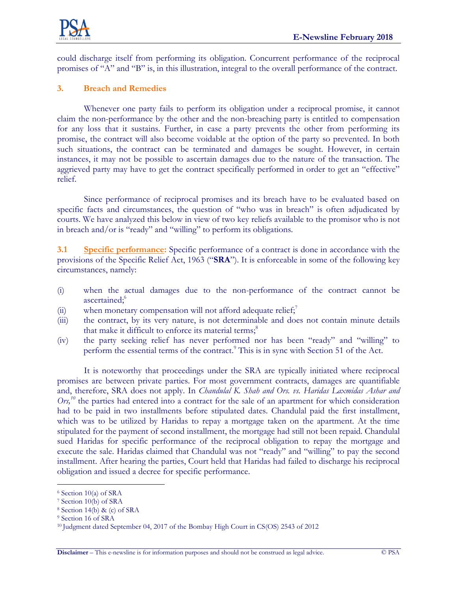

could discharge itself from performing its obligation. Concurrent performance of the reciprocal promises of "A" and "B" is, in this illustration, integral to the overall performance of the contract.

## **3. Breach and Remedies**

Whenever one party fails to perform its obligation under a reciprocal promise, it cannot claim the non-performance by the other and the non-breaching party is entitled to compensation for any loss that it sustains. Further, in case a party prevents the other from performing its promise, the contract will also become voidable at the option of the party so prevented. In both such situations, the contract can be terminated and damages be sought. However, in certain instances, it may not be possible to ascertain damages due to the nature of the transaction. The aggrieved party may have to get the contract specifically performed in order to get an "effective" relief.

Since performance of reciprocal promises and its breach have to be evaluated based on specific facts and circumstances, the question of "who was in breach" is often adjudicated by courts. We have analyzed this below in view of two key reliefs available to the promisor who is not in breach and/or is "ready" and "willing" to perform its obligations.

**3.1 Specific performance:** Specific performance of a contract is done in accordance with the provisions of the Specific Relief Act, 1963 ("**SRA**"). It is enforceable in some of the following key circumstances, namely:

- (i) when the actual damages due to the non-performance of the contract cannot be ascertained; 6
- (ii) when monetary compensation will not afford adequate relief;<sup>7</sup>
- (iii) the contract, by its very nature, is not determinable and does not contain minute details that make it difficult to enforce its material terms;<sup>8</sup>
- (iv) the party seeking relief has never performed nor has been "ready" and "willing" to perform the essential terms of the contract.<sup>9</sup> This is in sync with Section 51 of the Act.

It is noteworthy that proceedings under the SRA are typically initiated where reciprocal promises are between private parties. For most government contracts, damages are quantifiable and, therefore, SRA does not apply. In *Chandulal K. Shah and Ors. vs. Haridas Laxmidas Ashar and*  Ors,<sup>10</sup> the parties had entered into a contract for the sale of an apartment for which consideration had to be paid in two installments before stipulated dates. Chandulal paid the first installment, which was to be utilized by Haridas to repay a mortgage taken on the apartment. At the time stipulated for the payment of second installment, the mortgage had still not been repaid. Chandulal sued Haridas for specific performance of the reciprocal obligation to repay the mortgage and execute the sale. Haridas claimed that Chandulal was not "ready" and "willing" to pay the second installment. After hearing the parties, Court held that Haridas had failed to discharge his reciprocal obligation and issued a decree for specific performance.

 $\overline{a}$ 

<sup>6</sup> Section 10(a) of SRA

<sup>7</sup> Section 10(b) of SRA

<sup>8</sup> Section 14(b) & (c) of SRA

<sup>9</sup> Section 16 of SRA

<sup>10</sup> Judgment dated September 04, 2017 of the Bombay High Court in CS(OS) 2543 of 2012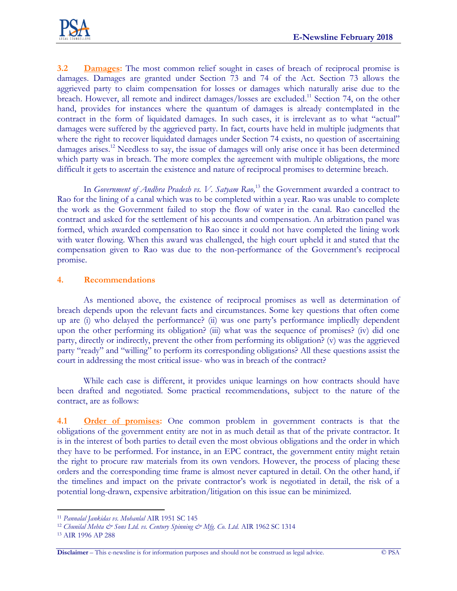

**3.2 Damages:** The most common relief sought in cases of breach of reciprocal promise is damages. Damages are granted under Section 73 and 74 of the Act. Section 73 allows the aggrieved party to claim compensation for losses or damages which naturally arise due to the breach. However, all remote and indirect damages/losses are excluded.<sup>11</sup> Section 74, on the other hand, provides for instances where the quantum of damages is already contemplated in the contract in the form of liquidated damages. In such cases, it is irrelevant as to what "actual" damages were suffered by the aggrieved party. In fact, courts have held in multiple judgments that where the right to recover liquidated damages under Section 74 exists, no question of ascertaining damages arises.<sup>12</sup> Needless to say, the issue of damages will only arise once it has been determined which party was in breach. The more complex the agreement with multiple obligations, the more difficult it gets to ascertain the existence and nature of reciprocal promises to determine breach.

In *Government of Andhra Pradesh vs. V. Satyam Rao,* <sup>13</sup> the Government awarded a contract to Rao for the lining of a canal which was to be completed within a year. Rao was unable to complete the work as the Government failed to stop the flow of water in the canal. Rao cancelled the contract and asked for the settlement of his accounts and compensation. An arbitration panel was formed, which awarded compensation to Rao since it could not have completed the lining work with water flowing. When this award was challenged, the high court upheld it and stated that the compensation given to Rao was due to the non-performance of the Government's reciprocal promise.

### **4. Recommendations**

As mentioned above, the existence of reciprocal promises as well as determination of breach depends upon the relevant facts and circumstances. Some key questions that often come up are (i) who delayed the performance? (ii) was one party's performance impliedly dependent upon the other performing its obligation? (iii) what was the sequence of promises? (iv) did one party, directly or indirectly, prevent the other from performing its obligation? (v) was the aggrieved party "ready" and "willing" to perform its corresponding obligations? All these questions assist the court in addressing the most critical issue- who was in breach of the contract?

While each case is different, it provides unique learnings on how contracts should have been drafted and negotiated. Some practical recommendations, subject to the nature of the contract, are as follows:

**4.1 Order of promises:** One common problem in government contracts is that the obligations of the government entity are not in as much detail as that of the private contractor. It is in the interest of both parties to detail even the most obvious obligations and the order in which they have to be performed. For instance, in an EPC contract, the government entity might retain the right to procure raw materials from its own vendors. However, the process of placing these orders and the corresponding time frame is almost never captured in detail. On the other hand, if the timelines and impact on the private contractor's work is negotiated in detail, the risk of a potential long-drawn, expensive arbitration/litigation on this issue can be minimized.

 $\overline{a}$ 

<sup>11</sup> *Pannalal Jankidas vs. Mohanlal* AIR 1951 SC 145

<sup>&</sup>lt;sup>12</sup> Chunilal Mehta & Sons Ltd. vs. Century Spinning & Mfg. Co. Ltd. AIR 1962 SC 1314

<sup>13</sup> AIR 1996 AP 288

**Disclaimer** – This e-newsline is for information purposes and should not be construed as legal advice. © PSA